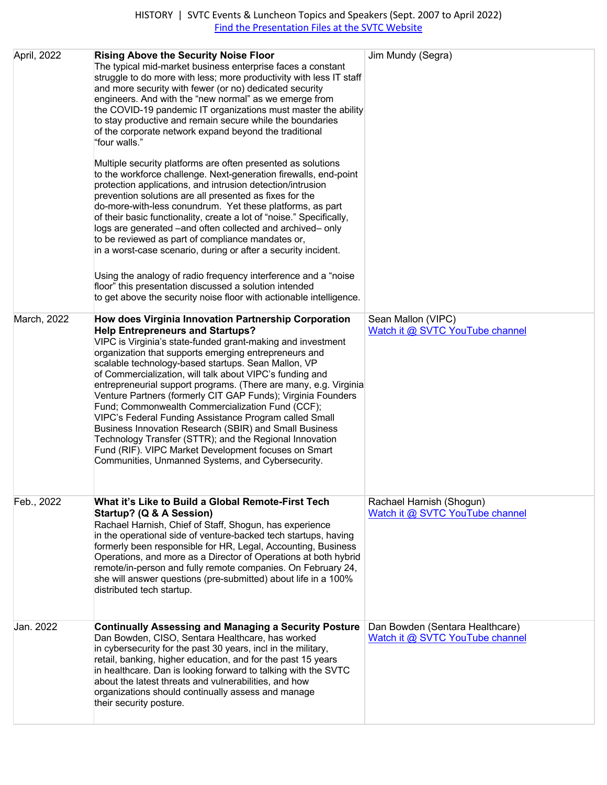| April, 2022 | <b>Rising Above the Security Noise Floor</b><br>The typical mid-market business enterprise faces a constant<br>struggle to do more with less; more productivity with less IT staff<br>and more security with fewer (or no) dedicated security<br>engineers. And with the "new normal" as we emerge from<br>the COVID-19 pandemic IT organizations must master the ability<br>to stay productive and remain secure while the boundaries<br>of the corporate network expand beyond the traditional<br>"four walls."<br>Multiple security platforms are often presented as solutions                                                                                                                                                                                                                                              | Jim Mundy (Segra)                                                  |
|-------------|--------------------------------------------------------------------------------------------------------------------------------------------------------------------------------------------------------------------------------------------------------------------------------------------------------------------------------------------------------------------------------------------------------------------------------------------------------------------------------------------------------------------------------------------------------------------------------------------------------------------------------------------------------------------------------------------------------------------------------------------------------------------------------------------------------------------------------|--------------------------------------------------------------------|
|             | to the workforce challenge. Next-generation firewalls, end-point<br>protection applications, and intrusion detection/intrusion<br>prevention solutions are all presented as fixes for the<br>do-more-with-less conundrum. Yet these platforms, as part<br>of their basic functionality, create a lot of "noise." Specifically,<br>logs are generated -and often collected and archived- only<br>to be reviewed as part of compliance mandates or,<br>in a worst-case scenario, during or after a security incident.                                                                                                                                                                                                                                                                                                            |                                                                    |
|             | Using the analogy of radio frequency interference and a "noise"<br>floor" this presentation discussed a solution intended<br>to get above the security noise floor with actionable intelligence.                                                                                                                                                                                                                                                                                                                                                                                                                                                                                                                                                                                                                               |                                                                    |
| March, 2022 | How does Virginia Innovation Partnership Corporation<br><b>Help Entrepreneurs and Startups?</b><br>VIPC is Virginia's state-funded grant-making and investment<br>organization that supports emerging entrepreneurs and<br>scalable technology-based startups. Sean Mallon, VP<br>of Commercialization, will talk about VIPC's funding and<br>entrepreneurial support programs. (There are many, e.g. Virginia<br>Venture Partners (formerly CIT GAP Funds); Virginia Founders<br>Fund; Commonwealth Commercialization Fund (CCF);<br>VIPC's Federal Funding Assistance Program called Small<br>Business Innovation Research (SBIR) and Small Business<br>Technology Transfer (STTR); and the Regional Innovation<br>Fund (RIF). VIPC Market Development focuses on Smart<br>Communities, Unmanned Systems, and Cybersecurity. | Sean Mallon (VIPC)<br>Watch it @ SVTC YouTube channel              |
| Feb., 2022  | What it's Like to Build a Global Remote-First Tech<br>Startup? (Q & A Session)<br>Rachael Harnish, Chief of Staff, Shogun, has experience<br>in the operational side of venture-backed tech startups, having<br>formerly been responsible for HR, Legal, Accounting, Business<br>Operations, and more as a Director of Operations at both hybrid<br>remote/in-person and fully remote companies. On February 24,<br>she will answer questions (pre-submitted) about life in a 100%<br>distributed tech startup.                                                                                                                                                                                                                                                                                                                | Rachael Harnish (Shogun)<br>Watch it @ SVTC YouTube channel        |
| Jan. 2022   | <b>Continually Assessing and Managing a Security Posture</b><br>Dan Bowden, CISO, Sentara Healthcare, has worked<br>in cybersecurity for the past 30 years, incl in the military,<br>retail, banking, higher education, and for the past 15 years<br>in healthcare. Dan is looking forward to talking with the SVTC<br>about the latest threats and vulnerabilities, and how<br>organizations should continually assess and manage<br>their security posture.                                                                                                                                                                                                                                                                                                                                                                  | Dan Bowden (Sentara Healthcare)<br>Watch it @ SVTC YouTube channel |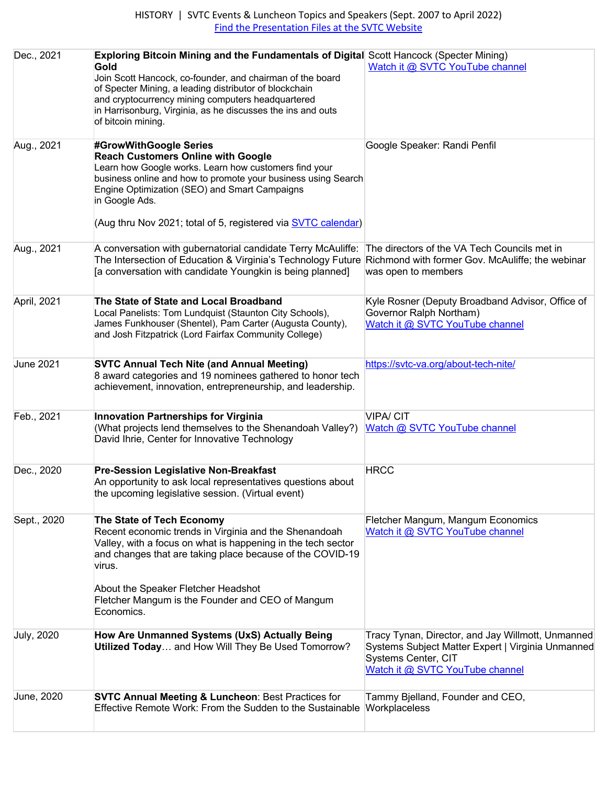| Dec., 2021        | <b>Exploring Bitcoin Mining and the Fundamentals of Digital Scott Hancock (Specter Mining)</b><br>Gold<br>Join Scott Hancock, co-founder, and chairman of the board<br>of Specter Mining, a leading distributor of blockchain<br>and cryptocurrency mining computers headquartered<br>in Harrisonburg, Virginia, as he discusses the ins and outs<br>of bitcoin mining. | Watch it @ SVTC YouTube channel                                                                                                                                  |
|-------------------|-------------------------------------------------------------------------------------------------------------------------------------------------------------------------------------------------------------------------------------------------------------------------------------------------------------------------------------------------------------------------|------------------------------------------------------------------------------------------------------------------------------------------------------------------|
| Aug., 2021        | #GrowWithGoogle Series<br><b>Reach Customers Online with Google</b><br>Learn how Google works. Learn how customers find your<br>business online and how to promote your business using Search<br>Engine Optimization (SEO) and Smart Campaigns<br>in Google Ads.<br>(Aug thru Nov 2021; total of 5, registered via <b>SVTC calendar)</b>                                | Google Speaker: Randi Penfil                                                                                                                                     |
| Aug., 2021        | A conversation with gubernatorial candidate Terry McAuliffe:<br>The Intersection of Education & Virginia's Technology Future Richmond with former Gov. McAuliffe; the webinar<br>[a conversation with candidate Youngkin is being planned]                                                                                                                              | The directors of the VA Tech Councils met in<br>was open to members                                                                                              |
| April, 2021       | The State of State and Local Broadband<br>Local Panelists: Tom Lundquist (Staunton City Schools),<br>James Funkhouser (Shentel), Pam Carter (Augusta County),<br>and Josh Fitzpatrick (Lord Fairfax Community College)                                                                                                                                                  | Kyle Rosner (Deputy Broadband Advisor, Office of<br>Governor Ralph Northam)<br>Watch it @ SVTC YouTube channel                                                   |
| <b>June 2021</b>  | <b>SVTC Annual Tech Nite (and Annual Meeting)</b><br>8 award categories and 19 nominees gathered to honor tech<br>achievement, innovation, entrepreneurship, and leadership.                                                                                                                                                                                            | https://svtc-va.org/about-tech-nite/                                                                                                                             |
| Feb., 2021        | <b>Innovation Partnerships for Virginia</b><br>(What projects lend themselves to the Shenandoah Valley?)<br>David Ihrie, Center for Innovative Technology                                                                                                                                                                                                               | <b>VIPA/CIT</b><br>Watch @ SVTC YouTube channel                                                                                                                  |
| Dec., 2020        | <b>Pre-Session Legislative Non-Breakfast</b><br>An opportunity to ask local representatives questions about<br>the upcoming legislative session. (Virtual event)                                                                                                                                                                                                        | <b>HRCC</b>                                                                                                                                                      |
| Sept., 2020       | The State of Tech Economy<br>Recent economic trends in Virginia and the Shenandoah<br>Valley, with a focus on what is happening in the tech sector<br>and changes that are taking place because of the COVID-19<br>virus.<br>About the Speaker Fletcher Headshot<br>Fletcher Mangum is the Founder and CEO of Mangum<br>Economics.                                      | Fletcher Mangum, Mangum Economics<br>Watch it @ SVTC YouTube channel                                                                                             |
| <b>July, 2020</b> | How Are Unmanned Systems (UxS) Actually Being<br>Utilized Today and How Will They Be Used Tomorrow?                                                                                                                                                                                                                                                                     | Tracy Tynan, Director, and Jay Willmott, Unmanned<br>Systems Subject Matter Expert   Virginia Unmanned<br>Systems Center, CIT<br>Watch it @ SVTC YouTube channel |
| June, 2020        | <b>SVTC Annual Meeting &amp; Luncheon: Best Practices for</b><br>Effective Remote Work: From the Sudden to the Sustainable   Workplaceless                                                                                                                                                                                                                              | Tammy Bjelland, Founder and CEO,                                                                                                                                 |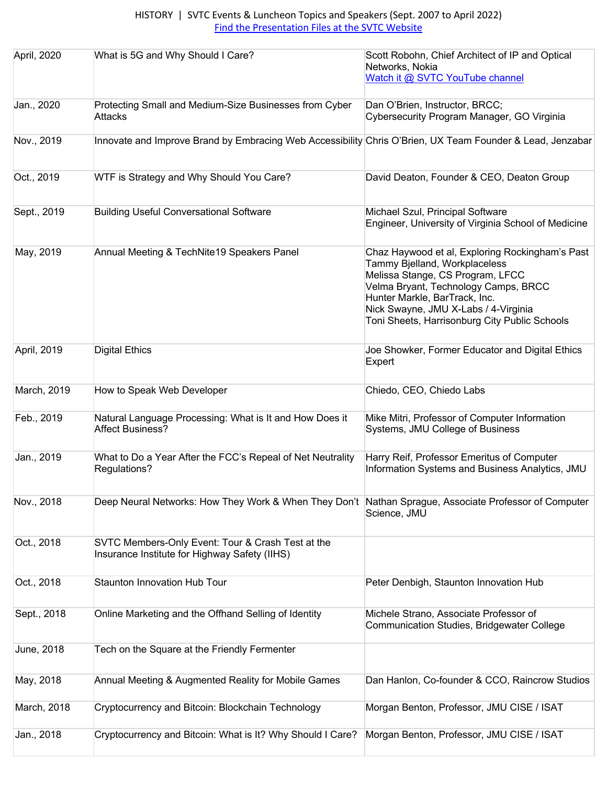| April, 2020 | What is 5G and Why Should I Care?                                                                         | Scott Robohn, Chief Architect of IP and Optical<br>Networks, Nokia<br>Watch it @ SVTC YouTube channel                                                                                                                                                                                  |
|-------------|-----------------------------------------------------------------------------------------------------------|----------------------------------------------------------------------------------------------------------------------------------------------------------------------------------------------------------------------------------------------------------------------------------------|
| Jan., 2020  | Protecting Small and Medium-Size Businesses from Cyber<br><b>Attacks</b>                                  | Dan O'Brien, Instructor, BRCC;<br>Cybersecurity Program Manager, GO Virginia                                                                                                                                                                                                           |
| Nov., 2019  | Innovate and Improve Brand by Embracing Web Accessibility Chris O'Brien, UX Team Founder & Lead, Jenzabar |                                                                                                                                                                                                                                                                                        |
| Oct., 2019  | WTF is Strategy and Why Should You Care?                                                                  | David Deaton, Founder & CEO, Deaton Group                                                                                                                                                                                                                                              |
| Sept., 2019 | <b>Building Useful Conversational Software</b>                                                            | Michael Szul, Principal Software<br>Engineer, University of Virginia School of Medicine                                                                                                                                                                                                |
| May, 2019   | Annual Meeting & TechNite19 Speakers Panel                                                                | Chaz Haywood et al, Exploring Rockingham's Past<br>Tammy Bjelland, Workplaceless<br>Melissa Stange, CS Program, LFCC<br>Velma Bryant, Technology Camps, BRCC<br>Hunter Markle, BarTrack, Inc.<br>Nick Swayne, JMU X-Labs / 4-Virginia<br>Toni Sheets, Harrisonburg City Public Schools |
| April, 2019 | <b>Digital Ethics</b>                                                                                     | Joe Showker, Former Educator and Digital Ethics<br>Expert                                                                                                                                                                                                                              |
| March, 2019 | How to Speak Web Developer                                                                                | Chiedo, CEO, Chiedo Labs                                                                                                                                                                                                                                                               |
| Feb., 2019  | Natural Language Processing: What is It and How Does it<br><b>Affect Business?</b>                        | Mike Mitri, Professor of Computer Information<br>Systems, JMU College of Business                                                                                                                                                                                                      |
| Jan., 2019  | What to Do a Year After the FCC's Repeal of Net Neutrality<br>Regulations?                                | Harry Reif, Professor Emeritus of Computer<br>Information Systems and Business Analytics, JMU                                                                                                                                                                                          |
| Nov., 2018  | Deep Neural Networks: How They Work & When They Don't Nathan Sprague, Associate Professor of Computer     | Science, JMU                                                                                                                                                                                                                                                                           |
| Oct., 2018  | SVTC Members-Only Event: Tour & Crash Test at the<br>Insurance Institute for Highway Safety (IIHS)        |                                                                                                                                                                                                                                                                                        |
| Oct., 2018  | Staunton Innovation Hub Tour                                                                              | Peter Denbigh, Staunton Innovation Hub                                                                                                                                                                                                                                                 |
| Sept., 2018 | Online Marketing and the Offhand Selling of Identity                                                      | Michele Strano, Associate Professor of<br>Communication Studies, Bridgewater College                                                                                                                                                                                                   |
| June, 2018  | Tech on the Square at the Friendly Fermenter                                                              |                                                                                                                                                                                                                                                                                        |
| May, 2018   | Annual Meeting & Augmented Reality for Mobile Games                                                       | Dan Hanlon, Co-founder & CCO, Raincrow Studios                                                                                                                                                                                                                                         |
| March, 2018 | Cryptocurrency and Bitcoin: Blockchain Technology                                                         | Morgan Benton, Professor, JMU CISE / ISAT                                                                                                                                                                                                                                              |
| Jan., 2018  | Cryptocurrency and Bitcoin: What is It? Why Should I Care?                                                | Morgan Benton, Professor, JMU CISE / ISAT                                                                                                                                                                                                                                              |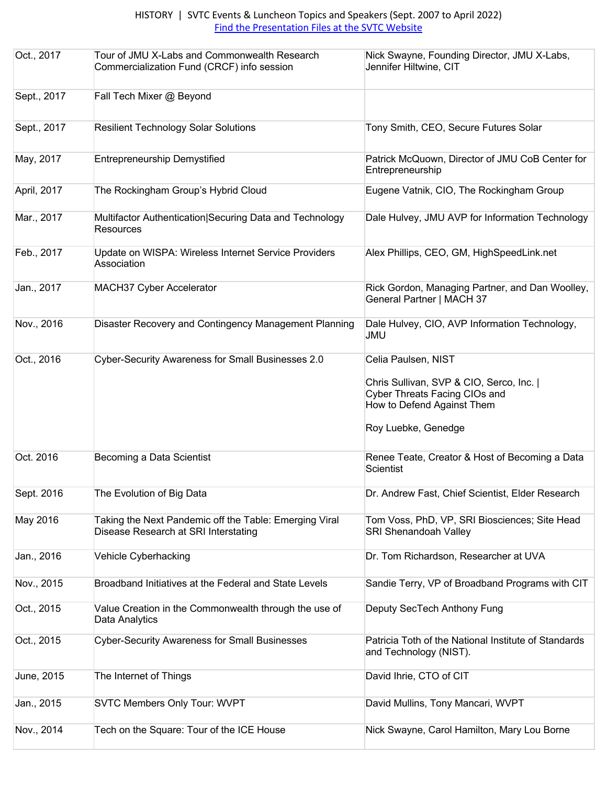| Oct., 2017  | Tour of JMU X-Labs and Commonwealth Research<br>Commercialization Fund (CRCF) info session     | Nick Swayne, Founding Director, JMU X-Labs,<br>Jennifer Hiltwine, CIT                                                                               |
|-------------|------------------------------------------------------------------------------------------------|-----------------------------------------------------------------------------------------------------------------------------------------------------|
| Sept., 2017 | Fall Tech Mixer @ Beyond                                                                       |                                                                                                                                                     |
| Sept., 2017 | <b>Resilient Technology Solar Solutions</b>                                                    | Tony Smith, CEO, Secure Futures Solar                                                                                                               |
| May, 2017   | <b>Entrepreneurship Demystified</b>                                                            | Patrick McQuown, Director of JMU CoB Center for<br>Entrepreneurship                                                                                 |
| April, 2017 | The Rockingham Group's Hybrid Cloud                                                            | Eugene Vatnik, CIO, The Rockingham Group                                                                                                            |
| Mar., 2017  | Multifactor Authentication Securing Data and Technology<br><b>Resources</b>                    | Dale Hulvey, JMU AVP for Information Technology                                                                                                     |
| Feb., 2017  | Update on WISPA: Wireless Internet Service Providers<br>Association                            | Alex Phillips, CEO, GM, HighSpeedLink.net                                                                                                           |
| Jan., 2017  | MACH37 Cyber Accelerator                                                                       | Rick Gordon, Managing Partner, and Dan Woolley,<br>General Partner   MACH 37                                                                        |
| Nov., 2016  | Disaster Recovery and Contingency Management Planning                                          | Dale Hulvey, CIO, AVP Information Technology,<br><b>JMU</b>                                                                                         |
| Oct., 2016  | Cyber-Security Awareness for Small Businesses 2.0                                              | Celia Paulsen, NIST<br>Chris Sullivan, SVP & CIO, Serco, Inc.<br>Cyber Threats Facing CIOs and<br>How to Defend Against Them<br>Roy Luebke, Genedge |
| Oct. 2016   | Becoming a Data Scientist                                                                      | Renee Teate, Creator & Host of Becoming a Data<br><b>Scientist</b>                                                                                  |
| Sept. 2016  | The Evolution of Big Data                                                                      | Dr. Andrew Fast, Chief Scientist, Elder Research                                                                                                    |
| May 2016    | Taking the Next Pandemic off the Table: Emerging Viral<br>Disease Research at SRI Interstating | Tom Voss, PhD, VP, SRI Biosciences; Site Head<br><b>SRI Shenandoah Valley</b>                                                                       |
| Jan., 2016  | Vehicle Cyberhacking                                                                           | Dr. Tom Richardson, Researcher at UVA                                                                                                               |
| Nov., 2015  | Broadband Initiatives at the Federal and State Levels                                          | Sandie Terry, VP of Broadband Programs with CIT                                                                                                     |
| Oct., 2015  | Value Creation in the Commonwealth through the use of<br>Data Analytics                        | Deputy SecTech Anthony Fung                                                                                                                         |
| Oct., 2015  | <b>Cyber-Security Awareness for Small Businesses</b>                                           | Patricia Toth of the National Institute of Standards<br>and Technology (NIST).                                                                      |
| June, 2015  | The Internet of Things                                                                         | David Ihrie, CTO of CIT                                                                                                                             |
| Jan., 2015  | <b>SVTC Members Only Tour: WVPT</b>                                                            | David Mullins, Tony Mancari, WVPT                                                                                                                   |
| Nov., 2014  | Tech on the Square: Tour of the ICE House                                                      | Nick Swayne, Carol Hamilton, Mary Lou Borne                                                                                                         |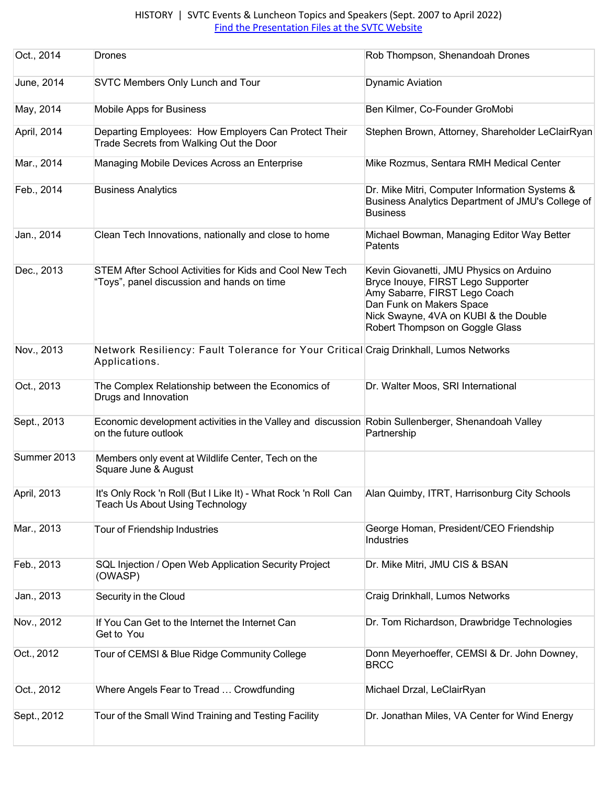| Oct., 2014  | <b>Drones</b>                                                                                                               | Rob Thompson, Shenandoah Drones                                                                                                                                                                                         |
|-------------|-----------------------------------------------------------------------------------------------------------------------------|-------------------------------------------------------------------------------------------------------------------------------------------------------------------------------------------------------------------------|
| June, 2014  | <b>SVTC Members Only Lunch and Tour</b>                                                                                     | <b>Dynamic Aviation</b>                                                                                                                                                                                                 |
| May, 2014   | Mobile Apps for Business                                                                                                    | Ben Kilmer, Co-Founder GroMobi                                                                                                                                                                                          |
| April, 2014 | Departing Employees: How Employers Can Protect Their<br>Trade Secrets from Walking Out the Door                             | Stephen Brown, Attorney, Shareholder LeClairRyan                                                                                                                                                                        |
| Mar., 2014  | Managing Mobile Devices Across an Enterprise                                                                                | Mike Rozmus, Sentara RMH Medical Center                                                                                                                                                                                 |
| Feb., 2014  | <b>Business Analytics</b>                                                                                                   | Dr. Mike Mitri, Computer Information Systems &<br>Business Analytics Department of JMU's College of<br><b>Business</b>                                                                                                  |
| Jan., 2014  | Clean Tech Innovations, nationally and close to home                                                                        | Michael Bowman, Managing Editor Way Better<br>Patents                                                                                                                                                                   |
| Dec., 2013  | STEM After School Activities for Kids and Cool New Tech<br>"Toys", panel discussion and hands on time                       | Kevin Giovanetti, JMU Physics on Arduino<br>Bryce Inouye, FIRST Lego Supporter<br>Amy Sabarre, FIRST Lego Coach<br>Dan Funk on Makers Space<br>Nick Swayne, 4VA on KUBI & the Double<br>Robert Thompson on Goggle Glass |
| Nov., 2013  | Network Resiliency: Fault Tolerance for Your Critical Craig Drinkhall, Lumos Networks<br>Applications.                      |                                                                                                                                                                                                                         |
| Oct., 2013  | The Complex Relationship between the Economics of<br>Drugs and Innovation                                                   | Dr. Walter Moos, SRI International                                                                                                                                                                                      |
| Sept., 2013 | Economic development activities in the Valley and discussion Robin Sullenberger, Shenandoah Valley<br>on the future outlook | Partnership                                                                                                                                                                                                             |
| Summer 2013 | Members only event at Wildlife Center, Tech on the<br>Square June & August                                                  |                                                                                                                                                                                                                         |
| April, 2013 | It's Only Rock 'n Roll (But I Like It) - What Rock 'n Roll Can<br><b>Teach Us About Using Technology</b>                    | Alan Quimby, ITRT, Harrisonburg City Schools                                                                                                                                                                            |
| Mar., 2013  | Tour of Friendship Industries                                                                                               | George Homan, President/CEO Friendship<br>Industries                                                                                                                                                                    |
| Feb., 2013  | SQL Injection / Open Web Application Security Project<br>(OWASP)                                                            | Dr. Mike Mitri, JMU CIS & BSAN                                                                                                                                                                                          |
| Jan., 2013  | Security in the Cloud                                                                                                       | Craig Drinkhall, Lumos Networks                                                                                                                                                                                         |
| Nov., 2012  | If You Can Get to the Internet the Internet Can<br>Get to You                                                               | Dr. Tom Richardson, Drawbridge Technologies                                                                                                                                                                             |
| Oct., 2012  | Tour of CEMSI & Blue Ridge Community College                                                                                | Donn Meyerhoeffer, CEMSI & Dr. John Downey,<br><b>BRCC</b>                                                                                                                                                              |
| Oct., 2012  | Where Angels Fear to Tread  Crowdfunding                                                                                    | Michael Drzal, LeClairRyan                                                                                                                                                                                              |
| Sept., 2012 | Tour of the Small Wind Training and Testing Facility                                                                        | Dr. Jonathan Miles, VA Center for Wind Energy                                                                                                                                                                           |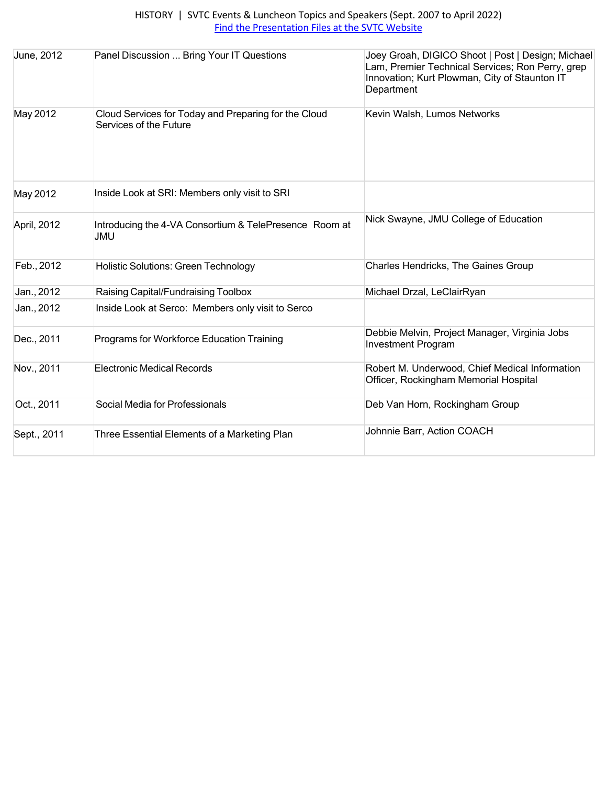| June, 2012  | Panel Discussion  Bring Your IT Questions                                      | Joey Groah, DIGICO Shoot   Post   Design; Michael<br>Lam, Premier Technical Services; Ron Perry, grep<br>Innovation; Kurt Plowman, City of Staunton IT<br>Department |
|-------------|--------------------------------------------------------------------------------|----------------------------------------------------------------------------------------------------------------------------------------------------------------------|
| May 2012    | Cloud Services for Today and Preparing for the Cloud<br>Services of the Future | Kevin Walsh, Lumos Networks                                                                                                                                          |
| May 2012    | Inside Look at SRI: Members only visit to SRI                                  |                                                                                                                                                                      |
| April, 2012 | Introducing the 4-VA Consortium & TelePresence Room at<br><b>JMU</b>           | Nick Swayne, JMU College of Education                                                                                                                                |
| Feb., 2012  | <b>Holistic Solutions: Green Technology</b>                                    | Charles Hendricks, The Gaines Group                                                                                                                                  |
| Jan., 2012  | Raising Capital/Fundraising Toolbox                                            | Michael Drzal, LeClairRyan                                                                                                                                           |
| Jan., 2012  | Inside Look at Serco: Members only visit to Serco                              |                                                                                                                                                                      |
| Dec., 2011  | Programs for Workforce Education Training                                      | Debbie Melvin, Project Manager, Virginia Jobs<br><b>Investment Program</b>                                                                                           |
| Nov., 2011  | <b>Electronic Medical Records</b>                                              | Robert M. Underwood, Chief Medical Information<br>Officer, Rockingham Memorial Hospital                                                                              |
| Oct., 2011  | Social Media for Professionals                                                 | Deb Van Horn, Rockingham Group                                                                                                                                       |
| Sept., 2011 | Three Essential Elements of a Marketing Plan                                   | Johnnie Barr, Action COACH                                                                                                                                           |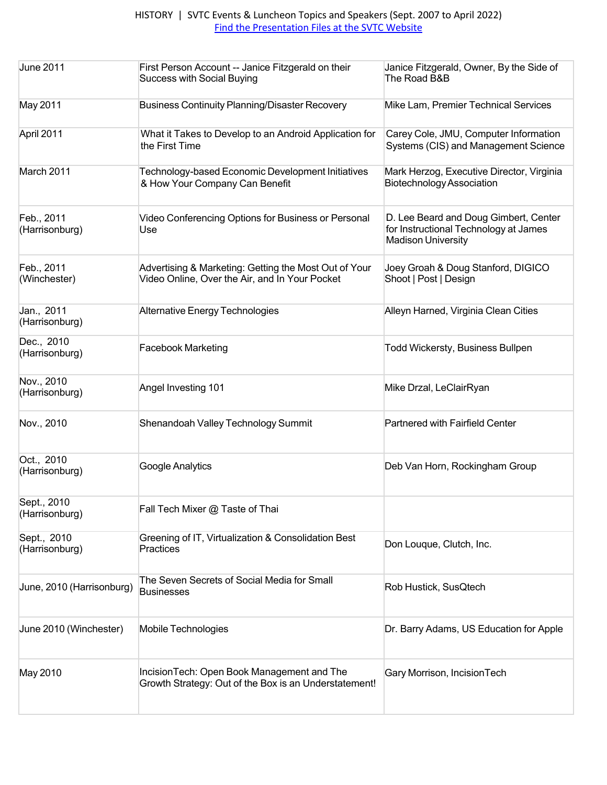| <b>June 2011</b>              | First Person Account -- Janice Fitzgerald on their<br><b>Success with Social Buying</b>                 | Janice Fitzgerald, Owner, By the Side of<br>The Road B&B                                                    |
|-------------------------------|---------------------------------------------------------------------------------------------------------|-------------------------------------------------------------------------------------------------------------|
| May 2011                      | <b>Business Continuity Planning/Disaster Recovery</b>                                                   | Mike Lam, Premier Technical Services                                                                        |
| April 2011                    | What it Takes to Develop to an Android Application for<br>the First Time                                | Carey Cole, JMU, Computer Information<br>Systems (CIS) and Management Science                               |
| March 2011                    | Technology-based Economic Development Initiatives<br>& How Your Company Can Benefit                     | Mark Herzog, Executive Director, Virginia<br><b>Biotechnology Association</b>                               |
| Feb., 2011<br>(Harrisonburg)  | Video Conferencing Options for Business or Personal<br>Use                                              | D. Lee Beard and Doug Gimbert, Center<br>for Instructional Technology at James<br><b>Madison University</b> |
| Feb., 2011<br>(Winchester)    | Advertising & Marketing: Getting the Most Out of Your<br>Video Online, Over the Air, and In Your Pocket | Joey Groah & Doug Stanford, DIGICO<br>Shoot   Post   Design                                                 |
| Jan., 2011<br>(Harrisonburg)  | Alternative Energy Technologies                                                                         | Alleyn Harned, Virginia Clean Cities                                                                        |
| Dec., 2010<br>(Harrisonburg)  | <b>Facebook Marketing</b>                                                                               | <b>Todd Wickersty, Business Bullpen</b>                                                                     |
| Nov., 2010<br>(Harrisonburg)  | Angel Investing 101                                                                                     | Mike Drzal, LeClairRyan                                                                                     |
| Nov., 2010                    | Shenandoah Valley Technology Summit                                                                     | <b>Partnered with Fairfield Center</b>                                                                      |
| Oct., 2010<br>(Harrisonburg)  | Google Analytics                                                                                        | Deb Van Horn, Rockingham Group                                                                              |
| Sept., 2010<br>(Harrisonburg) | Fall Tech Mixer @ Taste of Thai                                                                         |                                                                                                             |
| Sept., 2010<br>(Harrisonburg) | Greening of IT, Virtualization & Consolidation Best<br>Practices                                        | Don Louque, Clutch, Inc.                                                                                    |
| June, 2010 (Harrisonburg)     | The Seven Secrets of Social Media for Small<br><b>Businesses</b>                                        | Rob Hustick, SusQtech                                                                                       |
| June 2010 (Winchester)        | Mobile Technologies                                                                                     | Dr. Barry Adams, US Education for Apple                                                                     |
| May 2010                      | IncisionTech: Open Book Management and The<br>Growth Strategy: Out of the Box is an Understatement!     | Gary Morrison, IncisionTech                                                                                 |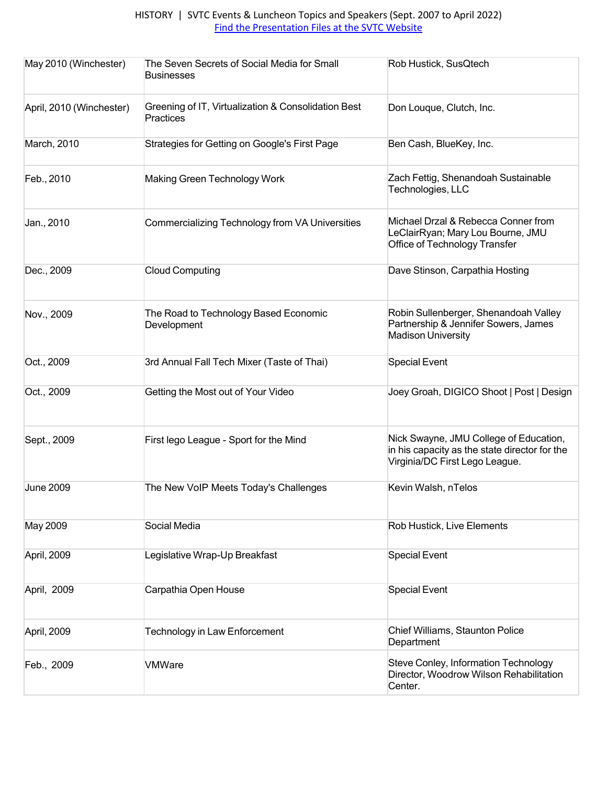| May 2010 (Winchester)    | The Seven Secrets of Social Media for Small<br><b>Businesses</b> | Rob Hustick, SusQtech                                                                                                     |
|--------------------------|------------------------------------------------------------------|---------------------------------------------------------------------------------------------------------------------------|
| April, 2010 (Winchester) | Greening of IT, Virtualization & Consolidation Best<br>Practices | Don Louque, Clutch, Inc.                                                                                                  |
| March, 2010              | Strategies for Getting on Google's First Page                    | Ben Cash, BlueKey, Inc.                                                                                                   |
| Feb., 2010               | Making Green Technology Work                                     | Zach Fettig, Shenandoah Sustainable<br>Technologies, LLC                                                                  |
| Jan., 2010               | Commercializing Technology from VA Universities                  | Michael Drzal & Rebecca Conner from<br>LeClairRyan; Mary Lou Bourne, JMU<br>Office of Technology Transfer                 |
| Dec., 2009               | <b>Cloud Computing</b>                                           | Dave Stinson, Carpathia Hosting                                                                                           |
| Nov., 2009               | The Road to Technology Based Economic<br>Development             | Robin Sullenberger, Shenandoah Valley<br>Partnership & Jennifer Sowers, James<br><b>Madison University</b>                |
| Oct., 2009               | 3rd Annual Fall Tech Mixer (Taste of Thai)                       | <b>Special Event</b>                                                                                                      |
| Oct., 2009               | Getting the Most out of Your Video                               | Joey Groah, DIGICO Shoot   Post   Design                                                                                  |
| Sept., 2009              | First lego League - Sport for the Mind                           | Nick Swayne, JMU College of Education,<br>in his capacity as the state director for the<br>Virginia/DC First Lego League. |
| <b>June 2009</b>         | The New VoIP Meets Today's Challenges                            | Kevin Walsh, nTelos                                                                                                       |
| May 2009                 | Social Media                                                     | Rob Hustick, Live Elements                                                                                                |
| April, 2009              | Legislative Wrap-Up Breakfast                                    | <b>Special Event</b>                                                                                                      |
| April, 2009              | Carpathia Open House                                             | <b>Special Event</b>                                                                                                      |
| April, 2009              | Technology in Law Enforcement                                    | Chief Williams, Staunton Police<br>Department                                                                             |
| Feb., 2009               | <b>VMWare</b>                                                    | Steve Conley, Information Technology<br>Director, Woodrow Wilson Rehabilitation<br>Center.                                |